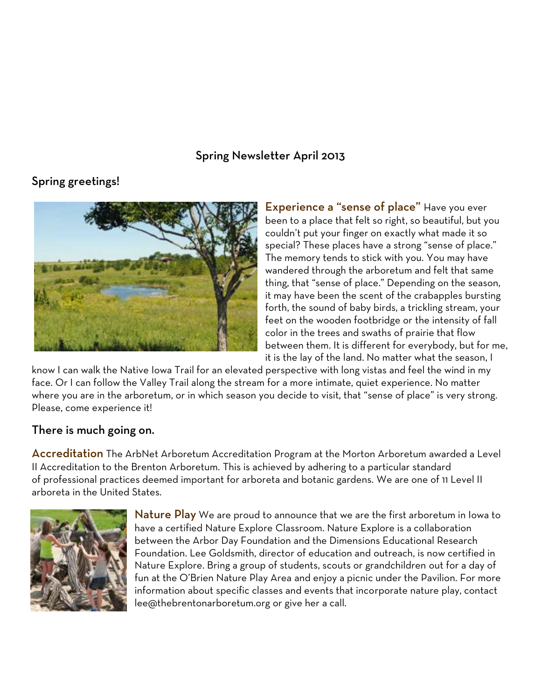## Spring Newsletter April 2013

# Spring greetings!



Experience a "sense of place" Have you ever been to a place that felt so right, so beautiful, but you couldn't put your finger on exactly what made it so special? These places have a strong "sense of place." The memory tends to stick with you. You may have wandered through the arboretum and felt that same thing, that "sense of place." Depending on the season, it may have been the scent of the crabapples bursting forth, the sound of baby birds, a trickling stream, your feet on the wooden footbridge or the intensity of fall color in the trees and swaths of prairie that flow between them. It is different for everybody, but for me, it is the lay of the land. No matter what the season, I

know I can walk the Native Iowa Trail for an elevated perspective with long vistas and feel the wind in my face. Or I can follow the Valley Trail along the stream for a more intimate, quiet experience. No matter where you are in the arboretum, or in which season you decide to visit, that "sense of place" is very strong. Please, come experience it!

## There is much going on.

**Accreditation** The ArbNet Arboretum Accreditation Program at the Morton Arboretum awarded a Level II Accreditation to the Brenton Arboretum. This is achieved by adhering to a particular standard of professional practices deemed important for arboreta and botanic gardens. We are one of 11 Level II arboreta in the United States.



Nature Play We are proud to announce that we are the first arboretum in Iowa to have a certified Nature Explore Classroom. Nature Explore is a collaboration between the Arbor Day Foundation and the Dimensions Educational Research Foundation. Lee Goldsmith, director of education and outreach, is now certified in Nature Explore. Bring a group of students, scouts or grandchildren out for a day of fun at the O'Brien Nature Play Area and enjoy a picnic under the Pavilion. For more information about specific classes and events that incorporate nature play, contact lee@thebrentonarboretum.org or give her a call.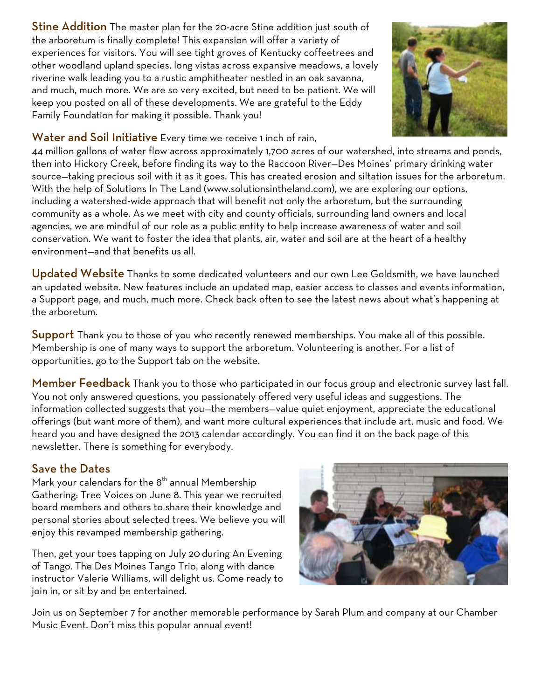**Stine Addition** The master plan for the 20-acre Stine addition just south of the arboretum is finally complete! This expansion will offer a variety of experiences for visitors. You will see tight groves of Kentucky coffeetrees and other woodland upland species, long vistas across expansive meadows, a lovely riverine walk leading you to a rustic amphitheater nestled in an oak savanna, and much, much more. We are so very excited, but need to be patient. We will keep you posted on all of these developments. We are grateful to the Eddy Family Foundation for making it possible. Thank you!



## Water and Soil Initiative Every time we receive 1 inch of rain,

44 million gallons of water flow across approximately 1,700 acres of our watershed, into streams and ponds, then into Hickory Creek, before finding its way to the Raccoon River—Des Moines' primary drinking water source—taking precious soil with it as it goes. This has created erosion and siltation issues for the arboretum. With the help of Solutions In The Land (www.solutionsintheland.com), we are exploring our options, including a watershed-wide approach that will benefit not only the arboretum, but the surrounding community as a whole. As we meet with city and county officials, surrounding land owners and local agencies, we are mindful of our role as a public entity to help increase awareness of water and soil conservation. We want to foster the idea that plants, air, water and soil are at the heart of a healthy environment—and that benefits us all.

Updated Website Thanks to some dedicated volunteers and our own Lee Goldsmith, we have launched an updated website. New features include an updated map, easier access to classes and events information, a Support page, and much, much more. Check back often to see the latest news about what's happening at the arboretum.

Support Thank you to those of you who recently renewed memberships. You make all of this possible. Membership is one of many ways to support the arboretum. Volunteering is another. For a list of opportunities, go to the Support tab on the website.

Member Feedback Thank you to those who participated in our focus group and electronic survey last fall. You not only answered questions, you passionately offered very useful ideas and suggestions. The information collected suggests that you—the members—value quiet enjoyment, appreciate the educational offerings (but want more of them), and want more cultural experiences that include art, music and food. We heard you and have designed the 2013 calendar accordingly. You can find it on the back page of this newsletter. There is something for everybody.

## Save the Dates

Mark your calendars for the  $8<sup>th</sup>$  annual Membership Gathering: Tree Voices on June 8. This year we recruited board members and others to share their knowledge and personal stories about selected trees. We believe you will enjoy this revamped membership gathering.

Then, get your toes tapping on July 20 during An Evening of Tango. The Des Moines Tango Trio, along with dance instructor Valerie Williams, will delight us. Come ready to join in, or sit by and be entertained.



Join us on September 7 for another memorable performance by Sarah Plum and company at our Chamber Music Event. Don't miss this popular annual event!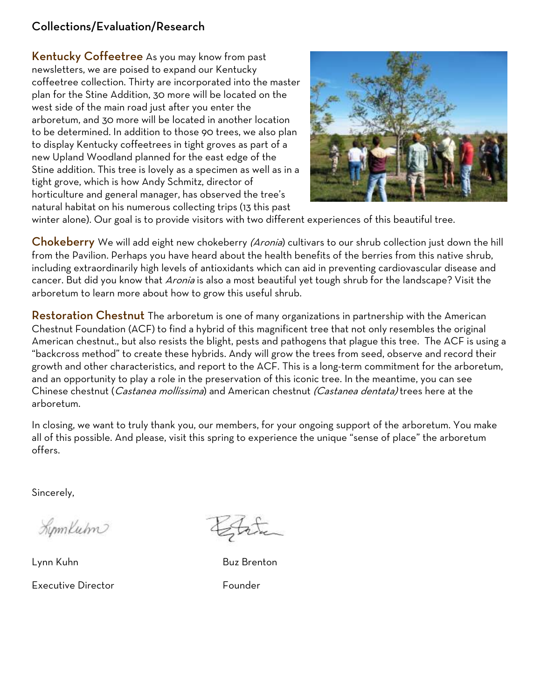# Collections/Evaluation/Research

Kentucky Coffeetree As you may know from past newsletters, we are poised to expand our Kentucky coffeetree collection. Thirty are incorporated into the master plan for the Stine Addition, 30 more will be located on the west side of the main road just after you enter the arboretum, and 30 more will be located in another location to be determined. In addition to those 90 trees, we also plan to display Kentucky coffeetrees in tight groves as part of a new Upland Woodland planned for the east edge of the Stine addition. This tree is lovely as a specimen as well as in a tight grove, which is how Andy Schmitz, director of horticulture and general manager, has observed the tree's natural habitat on his numerous collecting trips (13 this past



winter alone). Our goal is to provide visitors with two different experiences of this beautiful tree.

**Chokeberry** We will add eight new chokeberry *(Aronia*) cultivars to our shrub collection just down the hill from the Pavilion. Perhaps you have heard about the health benefits of the berries from this native shrub, including extraordinarily high levels of antioxidants which can aid in preventing cardiovascular disease and cancer. But did you know that Aronia is also a most beautiful yet tough shrub for the landscape? Visit the arboretum to learn more about how to grow this useful shrub.

Restoration Chestnut The arboretum is one of many organizations in partnership with the American Chestnut Foundation (ACF) to find a hybrid of this magnificent tree that not only resembles the original American chestnut., but also resists the blight, pests and pathogens that plague this tree. The ACF is using a "backcross method" to create these hybrids. Andy will grow the trees from seed, observe and record their growth and other characteristics, and report to the ACF. This is a long-term commitment for the arboretum, and an opportunity to play a role in the preservation of this iconic tree. In the meantime, you can see Chinese chestnut (*Castanea mollissima*) and American chestnut *(Castanea dentata)* trees here at the arboretum.

In closing, we want to truly thank you, our members, for your ongoing support of the arboretum. You make all of this possible. And please, visit this spring to experience the unique "sense of place" the arboretum offers.

Sincerely,

Limmluhn

Lynn Kuhn Buz Brenton Executive Director **Founder**